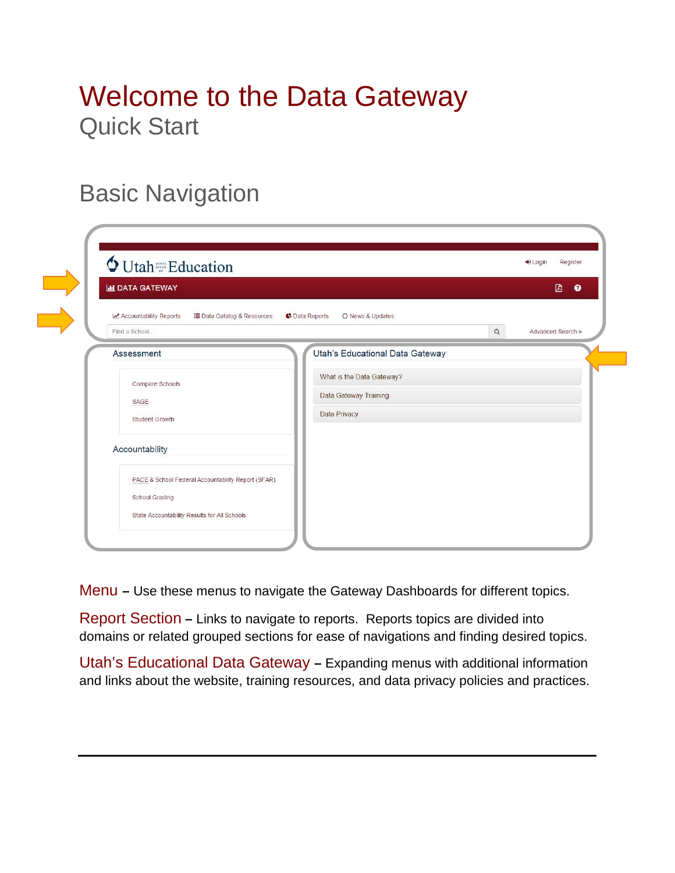## Welcome to the Data Gateway Quick Start

### Basic Navigation

| O Utah <sup>ster</sup> Education<br><b>III DATA GATEWAY</b>                                                          | <b>D</b>                                                                         |
|----------------------------------------------------------------------------------------------------------------------|----------------------------------------------------------------------------------|
| Accountability Reports<br>i■ Data Catalog & Resources<br>Find a School                                               | <b>C</b> Data Reports<br>C News & Updates<br>$\hbox{\tt Q}$<br>Advanced Search » |
| Assessment                                                                                                           | Utah's Educational Data Gateway                                                  |
| Compare Schools<br>SAGE<br>Student Growth                                                                            | What is the Data Gateway?<br>Data Gateway Training<br>Data Privacy               |
| Accountability                                                                                                       |                                                                                  |
| PACE & School Federal Accountability Report (SFAR)<br>School Grading<br>State Accountability Results for All Schools |                                                                                  |

Menu **–** Use these menus to navigate the Gateway Dashboards for different topics.

Report Section **–** Links to navigate to reports. Reports topics are divided into domains or related grouped sections for ease of navigations and finding desired topics.

Utah's Educational Data Gateway **–** Expanding menus with additional information and links about the website, training resources, and data privacy policies and practices.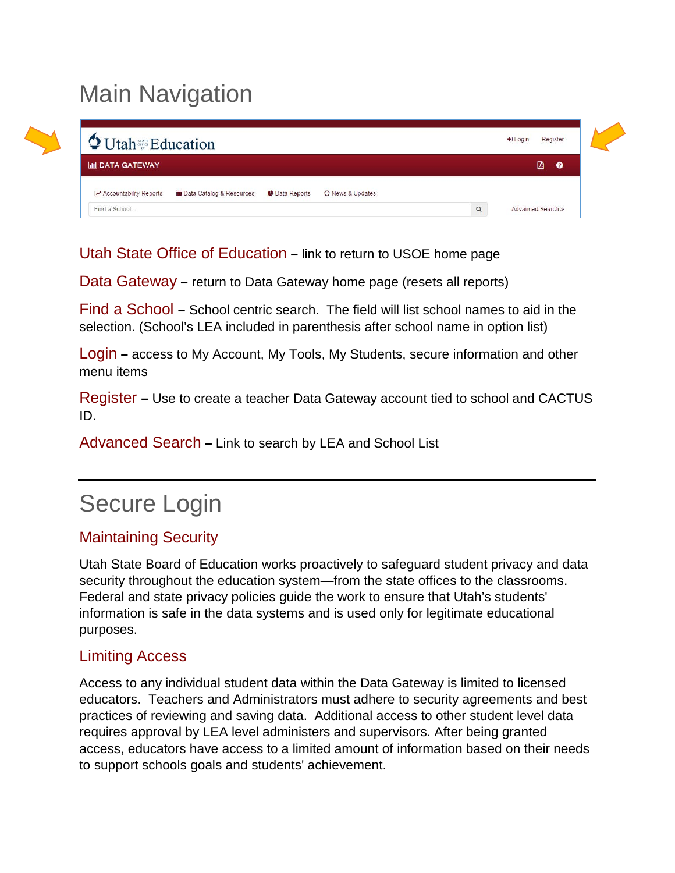# Main Navigation

| <b>Q</b> Utah <sup>s an</sup> Education |                                     |                       |                  |          | $\bigstar$ Login | Register          |
|-----------------------------------------|-------------------------------------|-----------------------|------------------|----------|------------------|-------------------|
| <b>III DATA GATEWAY</b>                 |                                     |                       |                  |          |                  | ቡ<br>$\bullet$    |
| Accountability Reports                  | <b>Data Catalog &amp; Resources</b> | <b>C</b> Data Reports | C News & Updates |          |                  |                   |
| Find a School                           |                                     |                       |                  | $\alpha$ |                  | Advanced Search » |

Utah State Office of Education **–** link to return to USOE home page

Data Gateway **–** return to Data Gateway home page (resets all reports)

Find a School **–** School centric search. The field will list school names to aid in the selection. (School's LEA included in parenthesis after school name in option list)

Login **–** access to My Account, My Tools, My Students, secure information and other menu items

Register **–** Use to create a teacher Data Gateway account tied to school and CACTUS ID.

Advanced Search **–** Link to search by LEA and School List

## Secure Login

#### Maintaining Security

Utah State Board of Education works proactively to safeguard student privacy and data security throughout the education system—from the state offices to the classrooms. Federal and state privacy policies guide the work to ensure that Utah's students' information is safe in the data systems and is used only for legitimate educational purposes.

#### Limiting Access

Access to any individual student data within the Data Gateway is limited to licensed educators. Teachers and Administrators must adhere to security agreements and best practices of reviewing and saving data. Additional access to other student level data requires approval by LEA level administers and supervisors. After being granted access, educators have access to a limited amount of information based on their needs to support schools goals and students' achievement.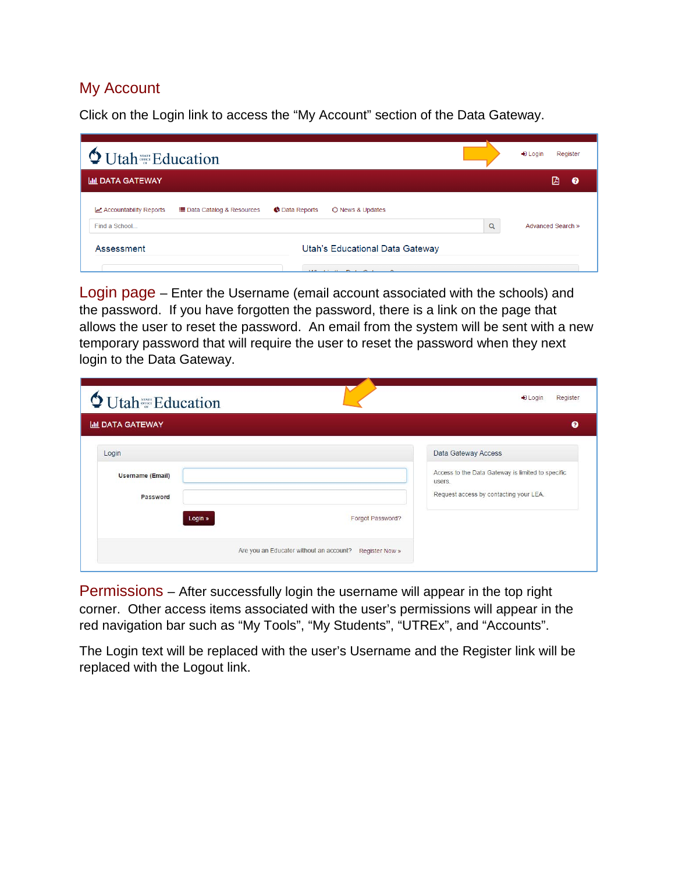#### My Account

Click on the Login link to access the "My Account" section of the Data Gateway.

| <b>V</b> Utah <sup>strat</sup> Education                                                                                                                                                                                                                         |          | Register<br>$\bigstar$ Login |
|------------------------------------------------------------------------------------------------------------------------------------------------------------------------------------------------------------------------------------------------------------------|----------|------------------------------|
| <b>III DATA GATEWAY</b>                                                                                                                                                                                                                                          |          | 囜<br>ଵ                       |
| ← Data Reports<br>C News & Updates<br><b>E</b> Data Catalog & Resources<br>Accountability Reports<br>Find a School                                                                                                                                               | $\alpha$ | Advanced Search »            |
| Utah's Educational Data Gateway<br>Assessment<br>$\mathbf{M}$ $\mathbf{L}$ $\mathbf{L}$ $\mathbf{L}$ $\mathbf{L}$ $\mathbf{L}$ $\mathbf{L}$ $\mathbf{L}$ $\mathbf{L}$ $\mathbf{L}$ $\mathbf{L}$ $\mathbf{L}$ $\mathbf{L}$ $\mathbf{L}$ $\mathbf{L}$ $\mathbf{L}$ |          |                              |

Login page – Enter the Username (email account associated with the schools) and the password. If you have forgotten the password, there is a link on the page that allows the user to reset the password. An email from the system will be sent with a new temporary password that will require the user to reset the password when they next login to the Data Gateway.

| $\bigcirc$ Utah $\frac{1}{\alpha}$ Education<br><b>IIII DATA GATEWAY</b> |                  | ๋                                                                                                     |
|--------------------------------------------------------------------------|------------------|-------------------------------------------------------------------------------------------------------|
| Login                                                                    |                  | Data Gateway Access                                                                                   |
| <b>Username (Email)</b><br>Password                                      |                  | Access to the Data Gateway is limited to specific<br>users.<br>Request access by contacting your LEA. |
| Login »                                                                  | Forgot Password? |                                                                                                       |

Permissions – After successfully login the username will appear in the top right corner. Other access items associated with the user's permissions will appear in the red navigation bar such as "My Tools", "My Students", "UTREx", and "Accounts".

The Login text will be replaced with the user's Username and the Register link will be replaced with the Logout link.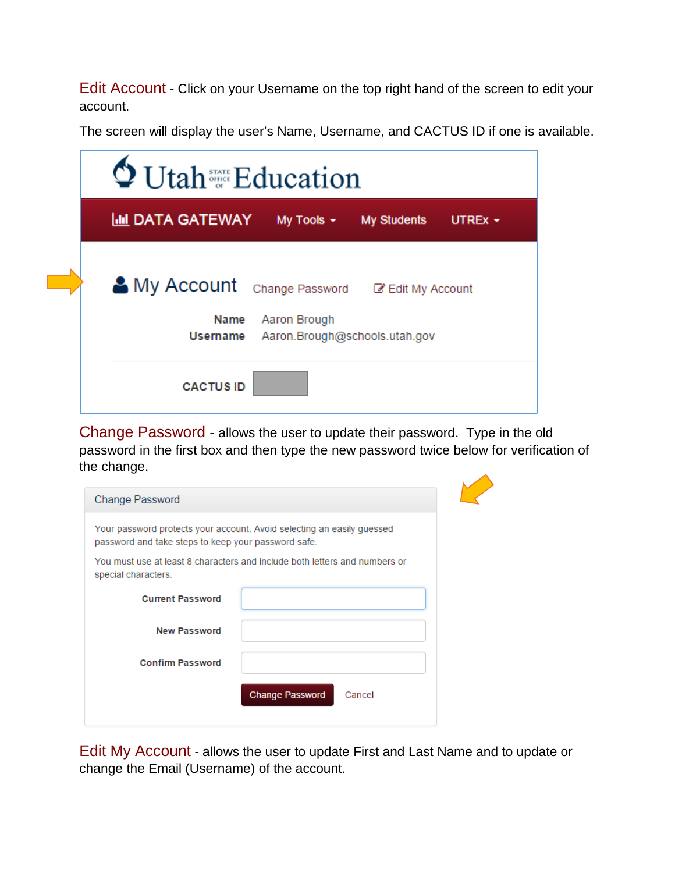Edit Account - Click on your Username on the top right hand of the screen to edit your account.

The screen will display the user's Name, Username, and CACTUS ID if one is available.

| <sup>Statur</sup> Education                              |                                                    |                              |              |
|----------------------------------------------------------|----------------------------------------------------|------------------------------|--------------|
| <u>ЫІІ</u> DATA GATEWAY                                  |                                                    | My Tools $\star$ My Students | UTREx $\sim$ |
| My Account Change Password @ Edit My Account<br>Username | Name Aaron Brough<br>Aaron.Brough@schools.utah.gov |                              |              |
| <b>CACTUS ID</b>                                         |                                                    |                              |              |

Change Password - allows the user to update their password. Type in the old password in the first box and then type the new password twice below for verification of the change.

| <b>Change Password</b>                              |                                                                            |
|-----------------------------------------------------|----------------------------------------------------------------------------|
| password and take steps to keep your password safe. | Your password protects your account. Avoid selecting an easily guessed     |
| special characters.                                 | You must use at least 8 characters and include both letters and numbers or |
| <b>Current Password</b>                             |                                                                            |
| <b>New Password</b>                                 |                                                                            |
| <b>Confirm Password</b>                             |                                                                            |
|                                                     | <b>Change Password</b><br>Cancel                                           |
|                                                     |                                                                            |

Edit My Account - allows the user to update First and Last Name and to update or change the Email (Username) of the account.